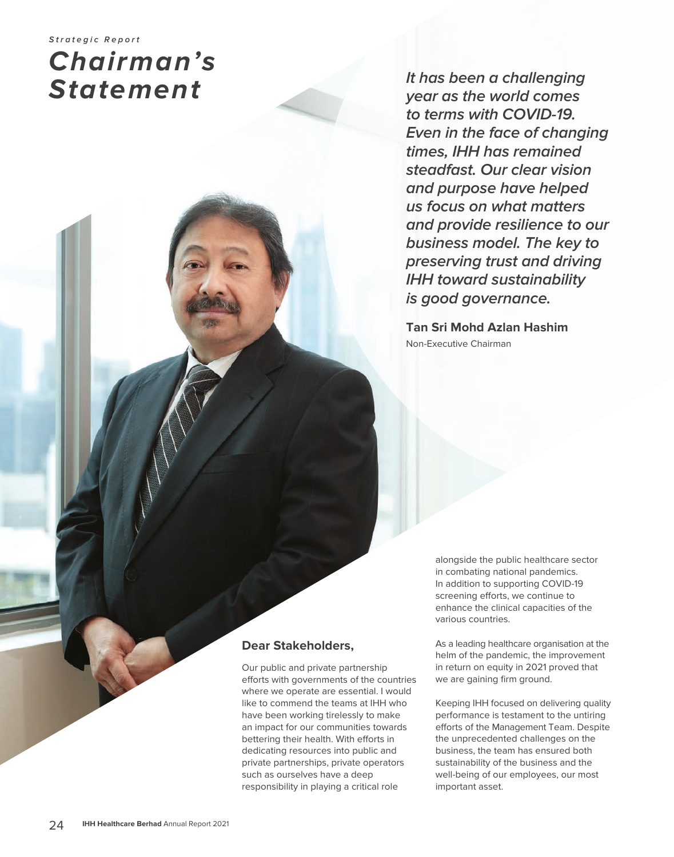# **Strategic Report Chairman's Statement**

**It has been a challenging year as the world comes to terms with COVID-19. Even in the face of changing times, IHH has remained steadfast. Our clear vision and purpose have helped us focus on what matters and provide resilience to our business model. The key to preserving trust and driving IHH toward sustainability is good governance.**

**Tan Sri Mohd Azlan Hashim** Non-Executive Chairman

> alongside the public healthcare sector in combating national pandemics. In addition to supporting COVID-19 screening efforts, we continue to enhance the clinical capacities of the various countries.

As a leading healthcare organisation at the helm of the pandemic, the improvement in return on equity in 2021 proved that we are gaining firm ground.

Keeping IHH focused on delivering quality performance is testament to the untiring efforts of the Management Team. Despite the unprecedented challenges on the business, the team has ensured both sustainability of the business and the well-being of our employees, our most important asset.

### **Dear Stakeholders,**

Our public and private partnership efforts with governments of the countries where we operate are essential. I would like to commend the teams at IHH who have been working tirelessly to make an impact for our communities towards bettering their health. With efforts in dedicating resources into public and private partnerships, private operators such as ourselves have a deep responsibility in playing a critical role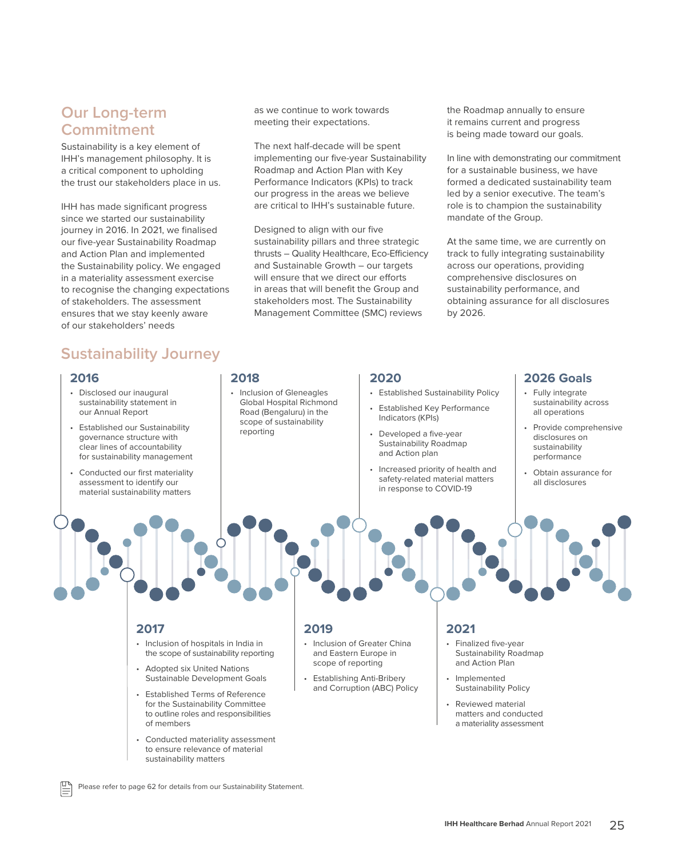### **Our Long-term Commitment**

Sustainability is a key element of IHH's management philosophy. It is a critical component to upholding the trust our stakeholders place in us.

IHH has made significant progress since we started our sustainability journey in 2016. In 2021, we finalised our five-year Sustainability Roadmap and Action Plan and implemented the Sustainability policy. We engaged in a materiality assessment exercise to recognise the changing expectations of stakeholders. The assessment ensures that we stay keenly aware of our stakeholders' needs

# **Sustainability Journey**

#### **2016**

- Disclosed our inaugural sustainability statement in our Annual Report
- Established our Sustainability governance structure with clear lines of accountability for sustainability management
- Conducted our first materiality assessment to identify our material sustainability matters

#### as we continue to work towards meeting their expectations.

The next half-decade will be spent implementing our five-year Sustainability Roadmap and Action Plan with Key Performance Indicators (KPIs) to track our progress in the areas we believe are critical to IHH's sustainable future.

Designed to align with our five sustainability pillars and three strategic thrusts – Quality Healthcare, Eco-Efficiency and Sustainable Growth – our targets will ensure that we direct our efforts in areas that will benefit the Group and stakeholders most. The Sustainability Management Committee (SMC) reviews

the Roadmap annually to ensure it remains current and progress is being made toward our goals.

In line with demonstrating our commitment for a sustainable business, we have formed a dedicated sustainability team led by a senior executive. The team's role is to champion the sustainability mandate of the Group.

At the same time, we are currently on track to fully integrating sustainability across our operations, providing comprehensive disclosures on sustainability performance, and obtaining assurance for all disclosures by 2026.

#### **2018**

• Inclusion of Gleneagles Global Hospital Richmond Road (Bengaluru) in the scope of sustainability reporting

#### **2020**

- Established Sustainability Policy
- Established Key Performance Indicators (KPIs)
- Developed a five-year Sustainability Roadmap and Action plan
- Increased priority of health and safety-related material matters in response to COVID-19

#### **2026 Goals**

- Fully integrate sustainability across all operations
- Provide comprehensive disclosures on sustainability performance
- Obtain assurance for all disclosures

#### **2017**

- Inclusion of hospitals in India in the scope of sustainability reporting
- Adopted six United Nations Sustainable Development Goals
- Established Terms of Reference for the Sustainability Committee to outline roles and responsibilities of members
- Conducted materiality assessment to ensure relevance of material sustainability matters

#### **2019**

- Inclusion of Greater China and Eastern Europe in scope of reporting
- Establishing Anti-Bribery and Corruption (ABC) Policy

#### **2021**

- Finalized five-year Sustainability Roadmap and Action Plan
- Implemented Sustainability Policy
- Reviewed material matters and conducted a materiality assessment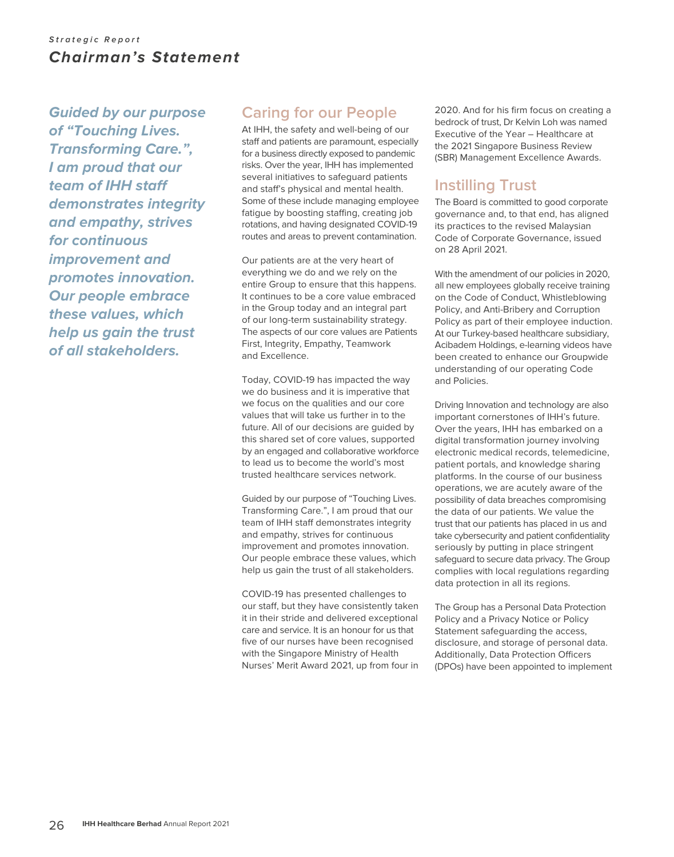### **Strategic Report** *Chairman's Statement*

*Guided by our purpose of "Touching Lives. Transforming Care.", I am proud that our team of IHH staff demonstrates integrity and empathy, strives for continuous improvement and promotes innovation. Our people embrace these values, which help us gain the trust of all stakeholders.*

## **Caring for our People**

At IHH, the safety and well-being of our staff and patients are paramount, especially for a business directly exposed to pandemic risks. Over the year, IHH has implemented several initiatives to safeguard patients and staff's physical and mental health. Some of these include managing employee fatigue by boosting staffing, creating job rotations, and having designated COVID-19 routes and areas to prevent contamination.

Our patients are at the very heart of everything we do and we rely on the entire Group to ensure that this happens. It continues to be a core value embraced in the Group today and an integral part of our long-term sustainability strategy. The aspects of our core values are Patients First, Integrity, Empathy, Teamwork and Excellence.

Today, COVID-19 has impacted the way we do business and it is imperative that we focus on the qualities and our core values that will take us further in to the future. All of our decisions are guided by this shared set of core values, supported by an engaged and collaborative workforce to lead us to become the world's most trusted healthcare services network.

Guided by our purpose of "Touching Lives. Transforming Care.", I am proud that our team of IHH staff demonstrates integrity and empathy, strives for continuous improvement and promotes innovation. Our people embrace these values, which help us gain the trust of all stakeholders.

COVID-19 has presented challenges to our staff, but they have consistently taken it in their stride and delivered exceptional care and service. It is an honour for us that five of our nurses have been recognised with the Singapore Ministry of Health Nurses' Merit Award 2021, up from four in 2020. And for his firm focus on creating a bedrock of trust, Dr Kelvin Loh was named Executive of the Year – Healthcare at the 2021 Singapore Business Review (SBR) Management Excellence Awards.

# **Instilling Trust**

The Board is committed to good corporate governance and, to that end, has aligned its practices to the revised Malaysian Code of Corporate Governance, issued on 28 April 2021.

With the amendment of our policies in 2020, all new employees globally receive training on the Code of Conduct, Whistleblowing Policy, and Anti-Bribery and Corruption Policy as part of their employee induction. At our Turkey-based healthcare subsidiary, Acibadem Holdings, e-learning videos have been created to enhance our Groupwide understanding of our operating Code and Policies.

Driving Innovation and technology are also important cornerstones of IHH's future. Over the years, IHH has embarked on a digital transformation journey involving electronic medical records, telemedicine, patient portals, and knowledge sharing platforms. In the course of our business operations, we are acutely aware of the possibility of data breaches compromising the data of our patients. We value the trust that our patients has placed in us and take cybersecurity and patient confidentiality seriously by putting in place stringent safeguard to secure data privacy. The Group complies with local regulations regarding data protection in all its regions.

The Group has a Personal Data Protection Policy and a Privacy Notice or Policy Statement safeguarding the access, disclosure, and storage of personal data. Additionally, Data Protection Officers (DPOs) have been appointed to implement